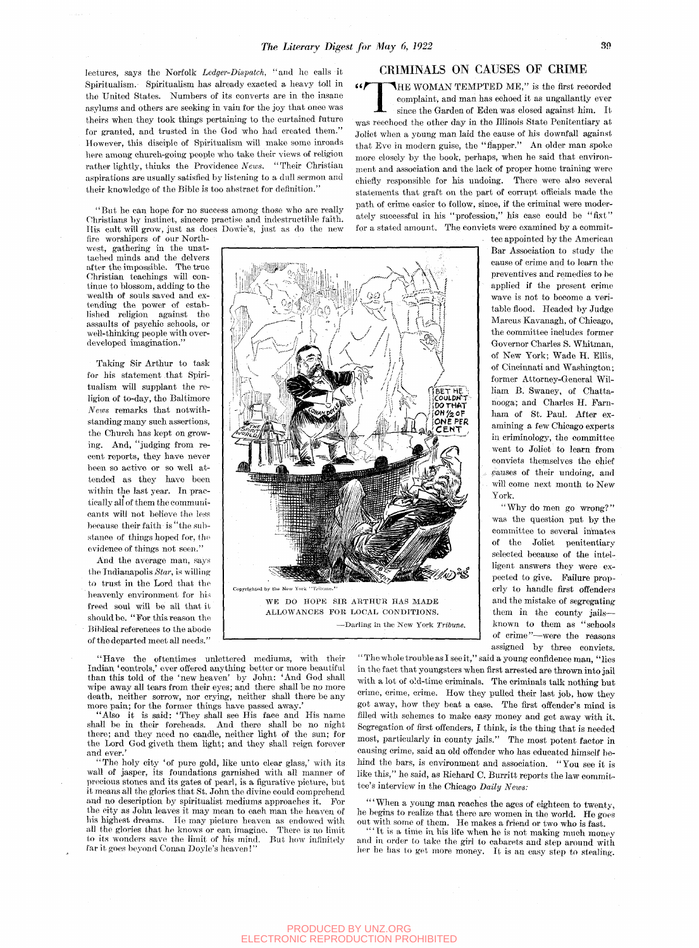lectures, says the Norfolk *Ledger-Dispatch,* "and ho calls it Spiritualism. Spiritualism has already exacted a heavy toll in the United States. Numbers of its converts are in the insane asylums and others are seeking in vain for the joy that once was theirs when they took things pertaining to the curtained future for granted, and trusted in the God who had created them." However, this disciple of Spiritualism will make some inroads here among church-going people who take their views of religion rather lightly, thinks the *Providenoe News.* "Their Christian aspirations are usually satisfied by listening to a dull sermon and their knowledge of the Bible is too abstract for definition."

"But he can hope for no success among those who are really Christians by instinct, sincere practise and indestructible faith. His cult will grow, just as does Dowie's, just as do the new

fire worshipers of our Northwest, gathering in the unattached minds and the delvers after the impossible. The true Christian teachings will continue to blossom, adding to the wealth of souls saved and extending the power of established religion against the assaults of psychic schools, or well-thinking people with overdeveloped imagination."

Taking Sir Arthur to task for his statement that Spiritualism will supplant the religion of to-day, the Baltimore *News* remarks that notwithstanding many such assertions, the Church has kept on growing. And, "judging from recent reports, they have never been so active or so well attended as they have been within the last year. In practically all of them the communioants will not believe the less because their faith is "the substance of things hoped for, the evidence of things not seen."

And the average man, says the Indianapolis *Star,* is willing to trust in the Lord that the heavenly environment for his freed soul will be all that it should be. "For this reason the Biblical references to the abode of the departed meet all needs."

**THE WOMAN TEMPTED ME**," is the first recorded complaint, and man has echoed it as ungallantly ever since the Garden of Eden was closed against him. It was reechoed the other day in the Illinois State Penitentiary at Joliet when a young man laid the cause of his downfall against that Eve in modern guise, the "flapper." An older man spoke

more closely by the book, perhaps, when he said that environment and association and the lack of proper home training were chiefly responsible for his undoing. There were also several statements that graft on the part of corrupt officials made the path of crime easier to follow, since, if the criminal were moderately successful in his "profession," his case could be "fixt" for a stated amount. The convicts were examined by a commit-

CRIMINALS ON CAUSES OF CRIME

**THE WOMAN TEMPTED ME,"** is the first recorded complaint, and man has echoed it as ungallantly ever since the Garden of Eden was closed against him. It

> . tee appointed by the American Bar Association to study the cause of crime and to learn the preventives and remedies to be applied if the present crime wave is not to become a veritable flood. Headed by Judge Marcus Kavanagh, of Chicago, the committee includes former Governor Charles S. Whitman, of New York; Wade H. Ellis, of Cincinnati and Washington; former Attorney-General William B. Swaney, of Chattanooga; and Charles H. Farnham of St. Paul. After examining a few Chicago experts in criminology, the committee went to Joliet to learn from convicts themselves the chief pauses of their undoing, and will come next month to New York.

> "Why do men go wrong?" was the question put by the committee to several ininates of the Joliet penitentiary selected because of the intelligent answers they were expected to give. Failure properly to handle first ofifenders and the mistake of segregating them in the county jails known to them as "schools of crime"—were the reasons assigned by three convicts.

*!* |ONE PER WE DO HOPE SIR ARTHUK HAS MADE ALLOWANCES FOR LOCAL CONDITIONS. —Darling in the New York *Tribune.* 

"Have the oftentimes unlettered mediums, with their Indian 'controls,' ever offered anything better or more beautiful than this told of the 'new heaven' by John: 'And God shall wipe away all tears from their eyes; and there shall be no more death, neither sorrow, nor crying, neither shall there be any more pain; for the former things have passed away.

'Also it is said: 'They shall see His face and His name shall be in their foreheads. And there shall be no night there; and they need no candle, neither light of the sun; for the Lord God giveth them light; and they shall reign forever and ever.

"The holy city 'of pure gold, like unto clear glass,' with its wall of jasper, its foundations garnished with all manner of precious stones and its gates of pearl, is a figurative picture, but it means all the glories that St. John the divine could comprehend and no description by spiritualist mediums approaches it. For the city as John leaves it may mean to each man the heaven of his highest dreams. He may picture heaven as endowed with all the glories that he knows or can imagine. There is no limit to its wonders save the limit of his mind. But how infinitely far it goes beyond Conan Doyle's heaven!"

"The whole trouble as I see it," said a young confidence man, "lies in the fact that youngsters when first arrested are thrown into jail with a lot of old-time criminals. The criminals talk nothing but crime, crime, crime. How they pulled their last job, how they got away, how they beat a ease. The first offender's mind is filled with schemes to make easy money and get away with it. Segregation of first offenders, I think, is the thing that is needed most, particularly in county jails." The most potent factor in causing crime, said an old offender who has educated himself behind the bars, is environment and association. "You see it is like this," he said, as Richard C. Burritt reports the law committee's interview in the Chicago *Daily News:* 

'"When a young man reaches the ages of eighteen to twenty, he begins to realize that there are women in the world. He goes out with some of them.. He makes a friend or two who is fast.

'"It is a tirne in his life when he is not making much money and in order to take the girl to cabarets and step around with her he has to get more money. It is an easy step to stealing.